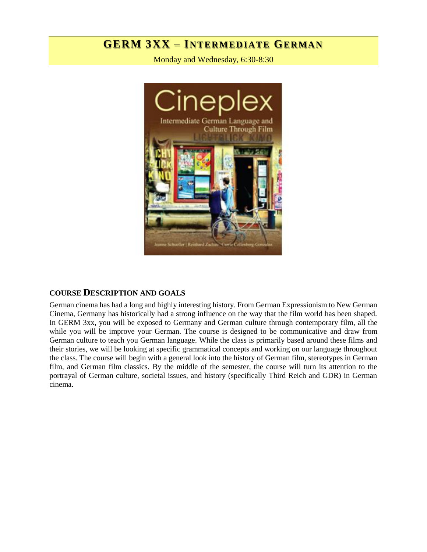# **GERM 3XX – INT E RM ED IA T E GER MA N**

Monday and Wednesday, 6:30-8:30



#### **COURSE DESCRIPTION AND GOALS**

German cinema has had a long and highly interesting history. From German Expressionism to New German Cinema, Germany has historically had a strong influence on the way that the film world has been shaped. In GERM 3xx, you will be exposed to Germany and German culture through contemporary film, all the while you will be improve your German. The course is designed to be communicative and draw from German culture to teach you German language. While the class is primarily based around these films and their stories, we will be looking at specific grammatical concepts and working on our language throughout the class. The course will begin with a general look into the history of German film, stereotypes in German film, and German film classics. By the middle of the semester, the course will turn its attention to the portrayal of German culture, societal issues, and history (specifically Third Reich and GDR) in German cinema.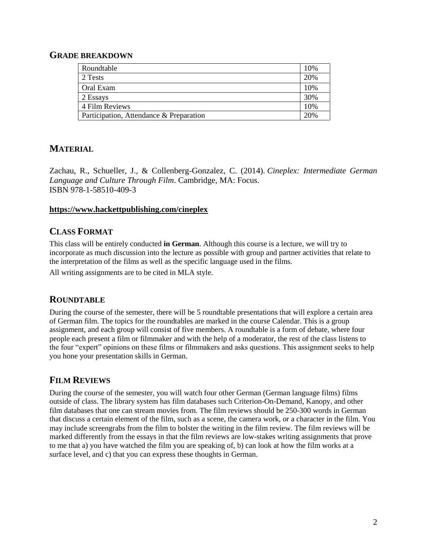#### **GRADE BREAKDOWN**

| Roundtable                              | 10% |
|-----------------------------------------|-----|
| 2 Tests                                 | 20% |
| Oral Exam                               | 10% |
| 2 Essays                                | 30% |
| 4 Film Reviews                          | 10% |
| Participation, Attendance & Preparation | 20% |

# **MATERIAL**

Zachau, R., Schueller, J., & Collenberg-Gonzalez, C. (2014). *Cineplex: Intermediate German Language and Culture Through Film*. Cambridge, MA: Focus. ISBN 978-1-58510-409-3

#### **<https://www.hackettpublishing.com/cineplex>**

### **CLASS FORMAT**

This class will be entirely conducted **in German**. Although this course is a lecture, we will try to incorporate as much discussion into the lecture as possible with group and partner activities that relate to the interpretation of the films as well as the specific language used in the films.

All writing assignments are to be cited in MLA style.

### **ROUNDTABLE**

During the course of the semester, there will be 5 roundtable presentations that will explore a certain area of German film. The topics for the roundtables are marked in the course Calendar. This is a group assignment, and each group will consist of five members. A roundtable is a form of debate, where four people each present a film or filmmaker and with the help of a moderator, the rest of the class listens to the four "expert" opinions on these films or filmmakers and asks questions. This assignment seeks to help you hone your presentation skills in German.

### **FILM REVIEWS**

During the course of the semester, you will watch four other German (German language films) films outside of class. The library system has film databases such Criterion-On-Demand, Kanopy, and other film databases that one can stream movies from. The film reviews should be 250-300 words in German that discuss a certain element of the film, such as a scene, the camera work, or a character in the film. You may include screengrabs from the film to bolster the writing in the film review. The film reviews will be marked differently from the essays in that the film reviews are low-stakes writing assignments that prove to me that a) you have watched the film you are speaking of, b) can look at how the film works at a surface level, and c) that you can express these thoughts in German.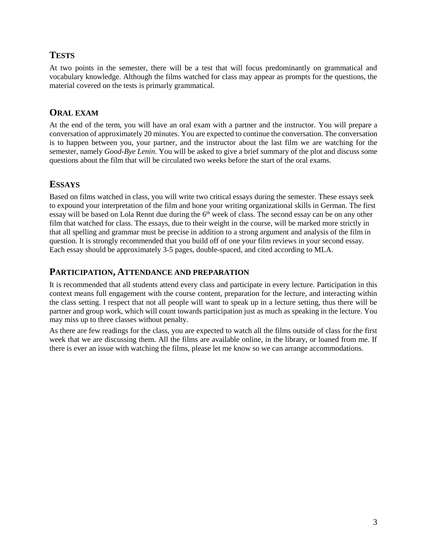# **TESTS**

At two points in the semester, there will be a test that will focus predominantly on grammatical and vocabulary knowledge. Although the films watched for class may appear as prompts for the questions, the material covered on the tests is primarly grammatical.

# **ORAL EXAM**

At the end of the term, you will have an oral exam with a partner and the instructor. You will prepare a conversation of approximately 20 minutes. You are expected to continue the conversation. The conversation is to happen between you, your partner, and the instructor about the last film we are watching for the semester, namely *Good-Bye Lenin*. You will be asked to give a brief summary of the plot and discuss some questions about the film that will be circulated two weeks before the start of the oral exams.

# **ESSAYS**

Based on films watched in class, you will write two critical essays during the semester. These essays seek to expound your interpretation of the film and hone your writing organizational skills in German. The first essay will be based on Lola Rennt due during the  $6<sup>th</sup>$  week of class. The second essay can be on any other film that watched for class. The essays, due to their weight in the course, will be marked more strictly in that all spelling and grammar must be precise in addition to a strong argument and analysis of the film in question. It is strongly recommended that you build off of one your film reviews in your second essay. Each essay should be approximately 3-5 pages, double-spaced, and cited according to MLA.

# **PARTICIPATION, ATTENDANCE AND PREPARATION**

It is recommended that all students attend every class and participate in every lecture. Participation in this context means full engagement with the course content, preparation for the lecture, and interacting within the class setting. I respect that not all people will want to speak up in a lecture setting, thus there will be partner and group work, which will count towards participation just as much as speaking in the lecture. You may miss up to three classes without penalty.

As there are few readings for the class, you are expected to watch all the films outside of class for the first week that we are discussing them. All the films are available online, in the library, or loaned from me. If there is ever an issue with watching the films, please let me know so we can arrange accommodations.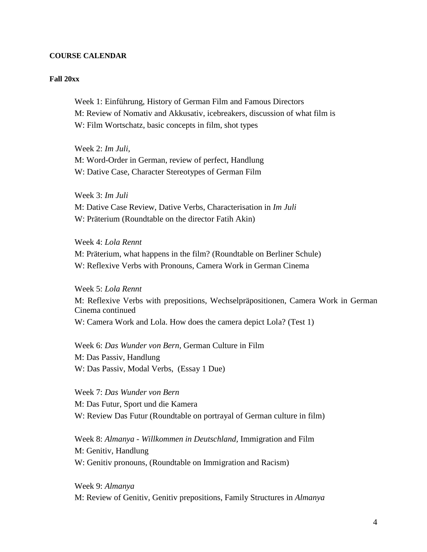#### **COURSE CALENDAR**

#### **Fall 20xx**

Week 1: Einführung, History of German Film and Famous Directors M: Review of Nomativ and Akkusativ, icebreakers, discussion of what film is W: Film Wortschatz, basic concepts in film, shot types

Week 2: *Im Juli*, M: Word-Order in German, review of perfect, Handlung W: Dative Case, Character Stereotypes of German Film

Week 3: *Im Juli* M: Dative Case Review, Dative Verbs, Characterisation in *Im Juli* W: Präterium (Roundtable on the director Fatih Akin)

Week 4: *Lola Rennt* M: Präterium, what happens in the film? (Roundtable on Berliner Schule) W: Reflexive Verbs with Pronouns, Camera Work in German Cinema

Week 5: *Lola Rennt* M: Reflexive Verbs with prepositions, Wechselpräpositionen, Camera Work in German Cinema continued W: Camera Work and Lola. How does the camera depict Lola? (Test 1)

Week 6: *Das Wunder von Bern,* German Culture in Film M: Das Passiv, Handlung W: Das Passiv, Modal Verbs, (Essay 1 Due)

Week 7: *Das Wunder von Bern* M: Das Futur, Sport und die Kamera W: Review Das Futur (Roundtable on portrayal of German culture in film)

Week 8: *Almanya - Willkommen in Deutschland,* Immigration and Film M: Genitiv, Handlung W: Genitiv pronouns, (Roundtable on Immigration and Racism)

Week 9: *Almanya* M: Review of Genitiv, Genitiv prepositions, Family Structures in *Almanya*